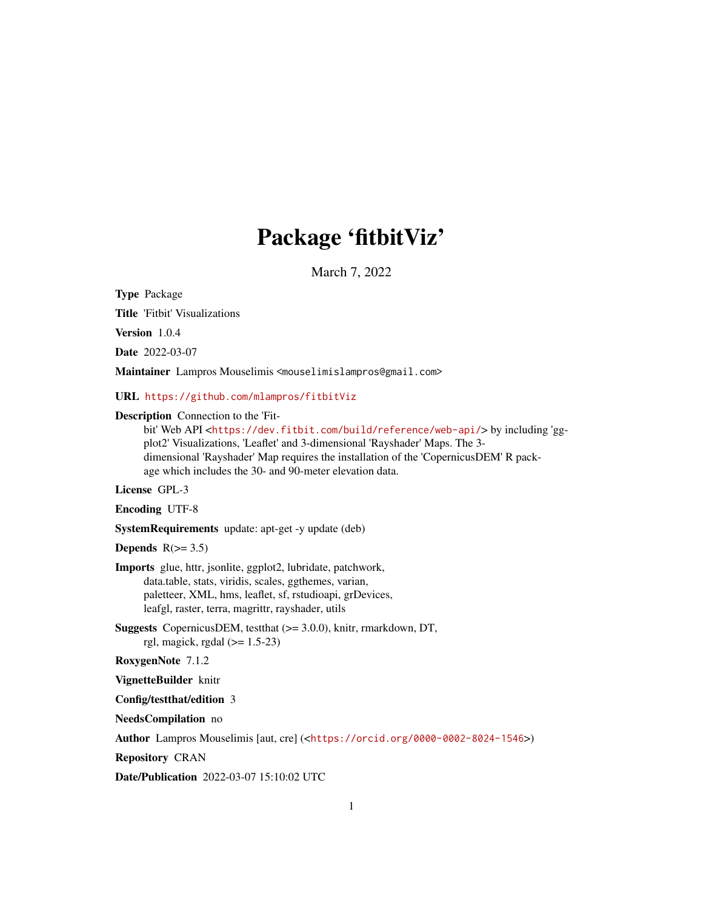# Package 'fitbitViz'

March 7, 2022

Type Package

Title 'Fitbit' Visualizations

Version 1.0.4

Date 2022-03-07

Maintainer Lampros Mouselimis <mouselimislampros@gmail.com>

URL <https://github.com/mlampros/fitbitViz>

#### Description Connection to the 'Fit-

bit' Web API <<https://dev.fitbit.com/build/reference/web-api/>> by including 'ggplot2' Visualizations, 'Leaflet' and 3-dimensional 'Rayshader' Maps. The 3 dimensional 'Rayshader' Map requires the installation of the 'CopernicusDEM' R package which includes the 30- and 90-meter elevation data.

License GPL-3

Encoding UTF-8

SystemRequirements update: apt-get -y update (deb)

Depends  $R(>= 3.5)$ 

Imports glue, httr, jsonlite, ggplot2, lubridate, patchwork, data.table, stats, viridis, scales, ggthemes, varian, paletteer, XML, hms, leaflet, sf, rstudioapi, grDevices, leafgl, raster, terra, magrittr, rayshader, utils

Suggests CopernicusDEM, testthat (>= 3.0.0), knitr, rmarkdown, DT, rgl, magick, rgdal  $(>= 1.5-23)$ 

RoxygenNote 7.1.2

VignetteBuilder knitr

Config/testthat/edition 3

NeedsCompilation no

Author Lampros Mouselimis [aut, cre] (<<https://orcid.org/0000-0002-8024-1546>>)

Repository CRAN

Date/Publication 2022-03-07 15:10:02 UTC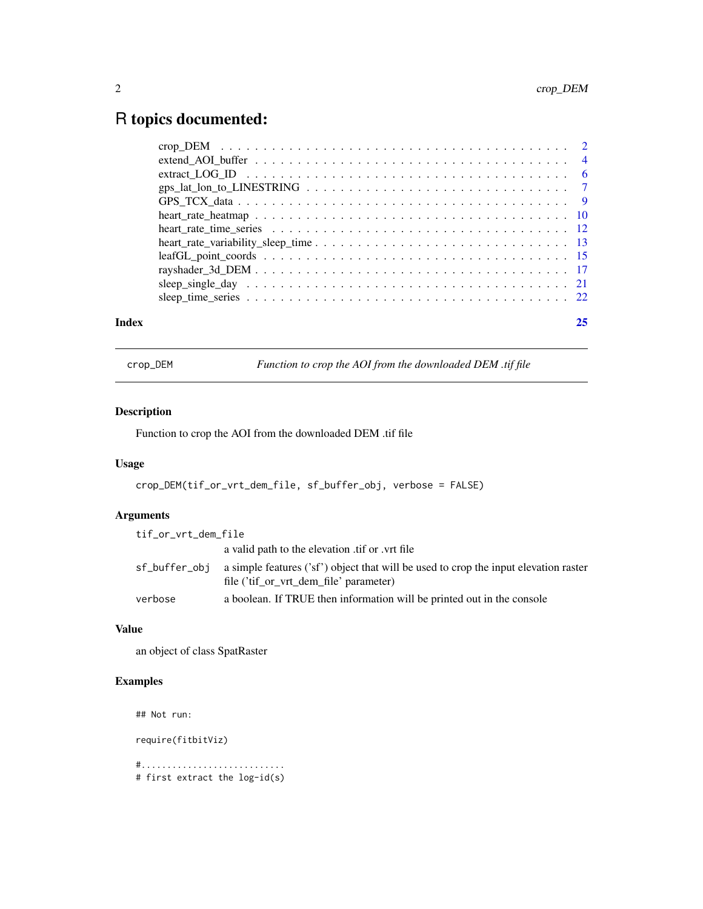## <span id="page-1-0"></span>R topics documented:

| Index |                                                                                                             |  |
|-------|-------------------------------------------------------------------------------------------------------------|--|
|       |                                                                                                             |  |
|       |                                                                                                             |  |
|       |                                                                                                             |  |
|       |                                                                                                             |  |
|       |                                                                                                             |  |
|       |                                                                                                             |  |
|       |                                                                                                             |  |
|       |                                                                                                             |  |
|       |                                                                                                             |  |
|       | extract LOG ID $\ldots \ldots \ldots \ldots \ldots \ldots \ldots \ldots \ldots \ldots \ldots \ldots \ldots$ |  |
|       |                                                                                                             |  |
|       |                                                                                                             |  |

crop\_DEM *Function to crop the AOI from the downloaded DEM .tif file*

#### Description

Function to crop the AOI from the downloaded DEM .tif file

#### Usage

```
crop_DEM(tif_or_vrt_dem_file, sf_buffer_obj, verbose = FALSE)
```
#### Arguments

| tif_or_vrt_dem_file |                                                                                                                                |
|---------------------|--------------------------------------------------------------------------------------------------------------------------------|
|                     | a valid path to the elevation tif or vrt file                                                                                  |
| sf_buffer_obi       | a simple features ('sf') object that will be used to crop the input elevation raster<br>file ('tif_or_vrt_dem_file' parameter) |
| verbose             | a boolean. If TRUE then information will be printed out in the console                                                         |

#### Value

an object of class SpatRaster

### Examples

## Not run:

require(fitbitViz)

#............................ # first extract the log-id(s)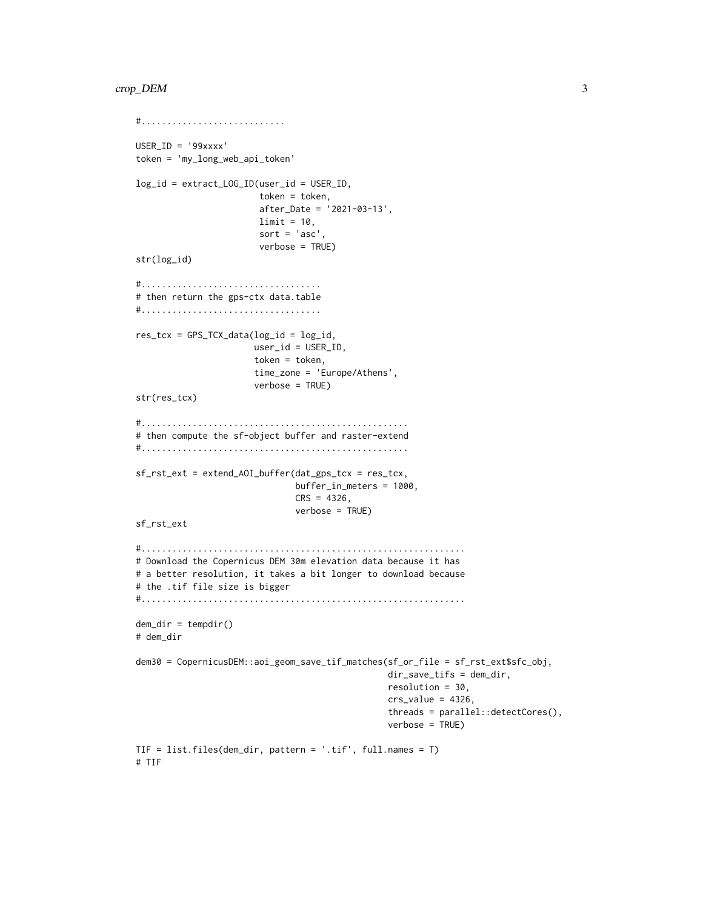```
#............................
USER_ID = '99xxxx'
token = 'my_long_web_api_token'
log_id = extract_LOG_ID(user_id = USER_ID,
                        token = token,
                        after_Date = '2021-03-13',
                        limit = 10,
                        sort = 'asc',
                        verbose = TRUE)
str(log_id)
#...................................
# then return the gps-ctx data.table
#...................................
res\_tcx = GPS\_TCX\_data(log\_id = log_id,user_id = USER_ID,
                       token = token,
                       time_zone = 'Europe/Athens',
                       verbose = TRUE)
str(res_tcx)
#....................................................
# then compute the sf-object buffer and raster-extend
#....................................................
sf_rst_ext = extend_AOI_buffer(dat_gps_tcx = res_tcx,
                               buffer_in_meters = 1000,
                               CRS = 4326,verbose = TRUE)
sf_rst_ext
#...............................................................
# Download the Copernicus DEM 30m elevation data because it has
# a better resolution, it takes a bit longer to download because
# the .tif file size is bigger
#...............................................................
dem\_dir = tempdir()# dem_dir
dem30 = CopernicusDEM::aoi_geom_save_tif_matches(sf_or_file = sf_rst_ext$sfc_obj,
                                                 dir_save_tifs = dem_dir,
                                                 resolution = 30,
                                                 crs_value = 4326,threads = parallel::detectCores(),
                                                 verbose = TRUE)
TIF = list.files(dem_dir, pattern = '.tif', full.names = T)
# TIF
```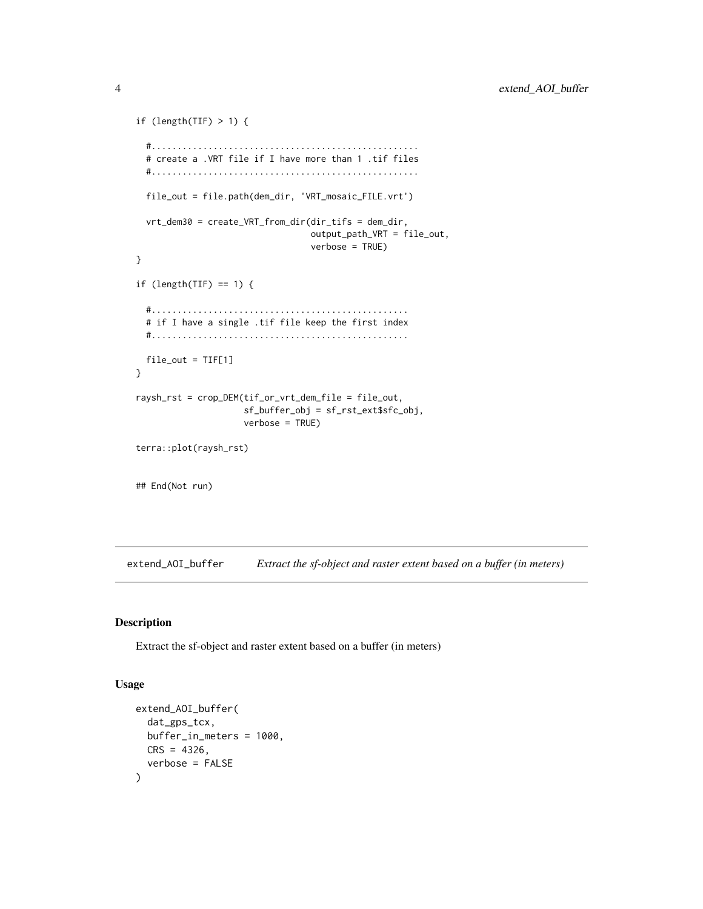```
if (length(TIF) > 1) {
 #....................................................
 # create a .VRT file if I have more than 1 .tif files
 #....................................................
 file_out = file.path(dem_dir, 'VRT_mosaic_FILE.vrt')
 vrt_dem30 = create_VRT_from_dir(dir_tifs = dem_dir,
                                  output_path_VRT = file_out,
                                  verbose = TRUE)
}
if (length(TIF) == 1) {
 #..................................................
 # if I have a single .tif file keep the first index
 #..................................................
 file_out = TIF[1]
}
raysh_rst = crop_DEM(tif_or_vrt_dem_file = file_out,
                     sf_buffer_obj = sf_rst_ext$sfc_obj,
                     verbose = TRUE)
terra::plot(raysh_rst)
## End(Not run)
```
extend\_AOI\_buffer *Extract the sf-object and raster extent based on a buffer (in meters)*

#### Description

Extract the sf-object and raster extent based on a buffer (in meters)

#### Usage

```
extend_AOI_buffer(
  dat_gps_tcx,
  buffer_in_meters = 1000,
 CRS = 4326,
  verbose = FALSE
)
```
<span id="page-3-0"></span>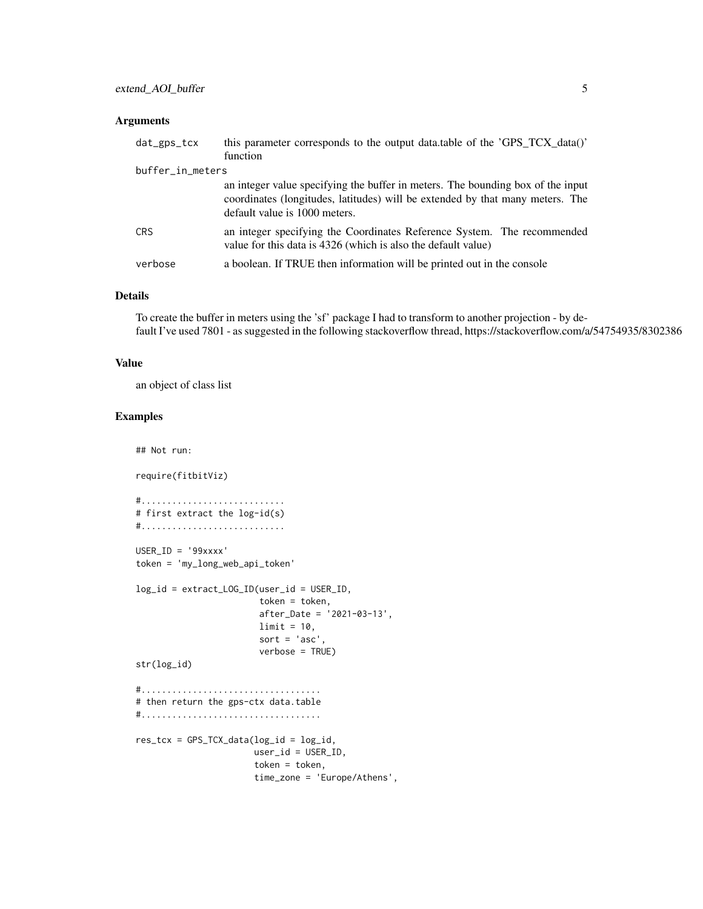#### Arguments

| $dat\_gps\_tcx$  | this parameter corresponds to the output data.table of the 'GPS_TCX_data()'<br>function                                                                                                           |
|------------------|---------------------------------------------------------------------------------------------------------------------------------------------------------------------------------------------------|
| buffer_in_meters |                                                                                                                                                                                                   |
|                  | an integer value specifying the buffer in meters. The bounding box of the input<br>coordinates (longitudes, latitudes) will be extended by that many meters. The<br>default value is 1000 meters. |
| <b>CRS</b>       | an integer specifying the Coordinates Reference System. The recommended<br>value for this data is 4326 (which is also the default value)                                                          |
| verbose          | a boolean. If TRUE then information will be printed out in the console                                                                                                                            |

#### Details

To create the buffer in meters using the 'sf' package I had to transform to another projection - by default I've used 7801 - as suggested in the following stackoverflow thread, https://stackoverflow.com/a/54754935/8302386

#### Value

an object of class list

#### Examples

## Not run:

require(fitbitViz)

```
#............................
# first extract the log-id(s)
#............................
USER_ID = '99xxxx'
```
token = 'my\_long\_web\_api\_token'

```
log_id = extract_LOG_ID(user_id = USER_ID,
                        token = token,
                        after_Date = '2021-03-13',
                        limit = 10,
                        sort = 'asc',
                        verbose = TRUE)
str(log_id)
#...................................
```

```
# then return the gps-ctx data.table
#...................................
```

```
res\_tcx = GPS\_TCX\_data(log\_id = log\_id,user_id = USER_ID,
                       token = token,
                       time_zone = 'Europe/Athens',
```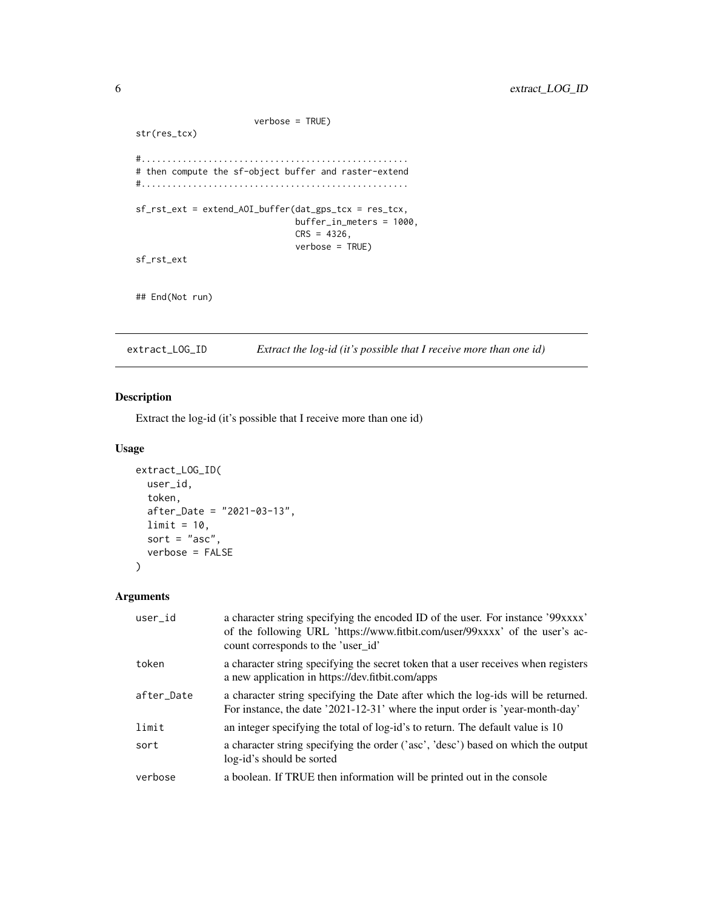```
verbose = TRUE)
str(res_tcx)
#....................................................
# then compute the sf-object buffer and raster-extend
#....................................................
sf_rst_ext = extend_AOI_buffer(dat_gps_tcx = res_tcx,
                               buffer_in_meters = 1000,
                               CRS = 4326,verbose = TRUE)
sf_rst_ext
## End(Not run)
```
extract\_LOG\_ID *Extract the log-id (it's possible that I receive more than one id)*

#### Description

Extract the log-id (it's possible that I receive more than one id)

#### Usage

```
extract_LOG_ID(
 user_id,
  token,
 after_Date = "2021-03-13",
 limit = 10,sort = "asc",verbose = FALSE
\lambda
```

| user id    | a character string specifying the encoded ID of the user. For instance '99xxxx'<br>of the following URL 'https://www.fitbit.com/user/99xxxx' of the user's ac-<br>count corresponds to the 'user_id' |
|------------|------------------------------------------------------------------------------------------------------------------------------------------------------------------------------------------------------|
| token      | a character string specifying the secret token that a user receives when registers<br>a new application in https://dev.fitbit.com/apps                                                               |
| after_Date | a character string specifying the Date after which the log-ids will be returned.<br>For instance, the date '2021-12-31' where the input order is 'year-month-day'                                    |
| limit      | an integer specifying the total of log-id's to return. The default value is 10                                                                                                                       |
| sort       | a character string specifying the order ('asc', 'desc') based on which the output<br>log-id's should be sorted                                                                                       |
| verbose    | a boolean. If TRUE then information will be printed out in the console                                                                                                                               |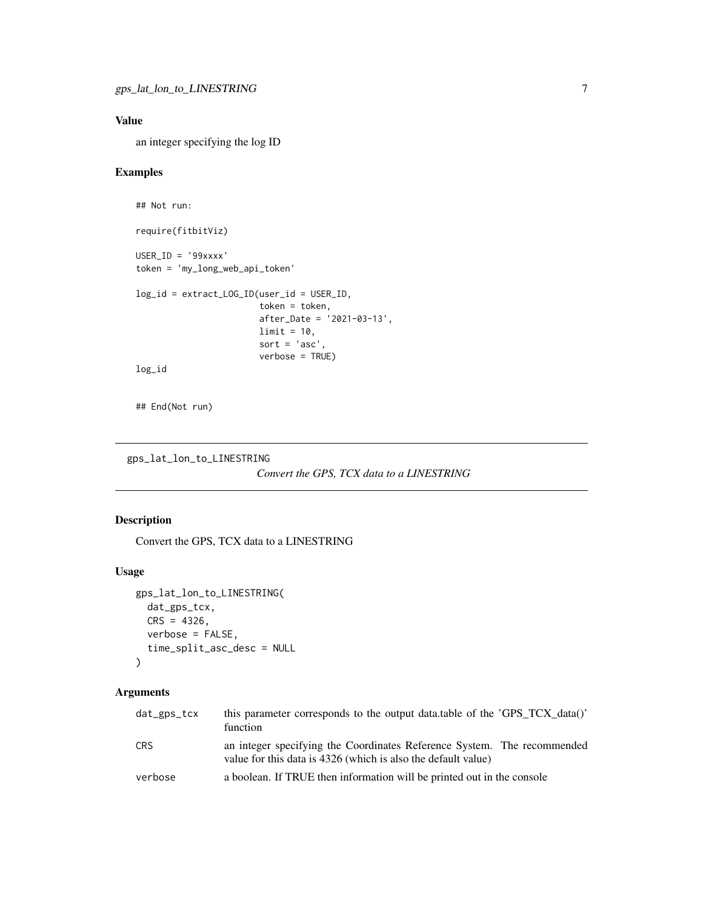<span id="page-6-0"></span>an integer specifying the log ID

#### Examples

```
## Not run:
require(fitbitViz)
USER_ID = '99xxxx'
token = 'my_long_web_api_token'
log_id = extract_LOG_ID(user_id = USER_ID,
                        token = token,
                        after_Date = '2021-03-13',
                        limit = 10,sort = 'asc',
                        verbose = TRUE)
log_id
```
## End(Not run)

```
gps_lat_lon_to_LINESTRING
```

```
Convert the GPS, TCX data to a LINESTRING
```
#### Description

Convert the GPS, TCX data to a LINESTRING

#### Usage

```
gps_lat_lon_to_LINESTRING(
  dat_gps_tcx,
  CRS = 4326,
  verbose = FALSE,
  time_split_asc_desc = NULL
\mathcal{L}
```

| dat_gps_tcx | this parameter corresponds to the output data.table of the 'GPS_TCX_data()'<br>function                                                  |
|-------------|------------------------------------------------------------------------------------------------------------------------------------------|
| CRS         | an integer specifying the Coordinates Reference System. The recommended<br>value for this data is 4326 (which is also the default value) |
| verbose     | a boolean. If TRUE then information will be printed out in the console                                                                   |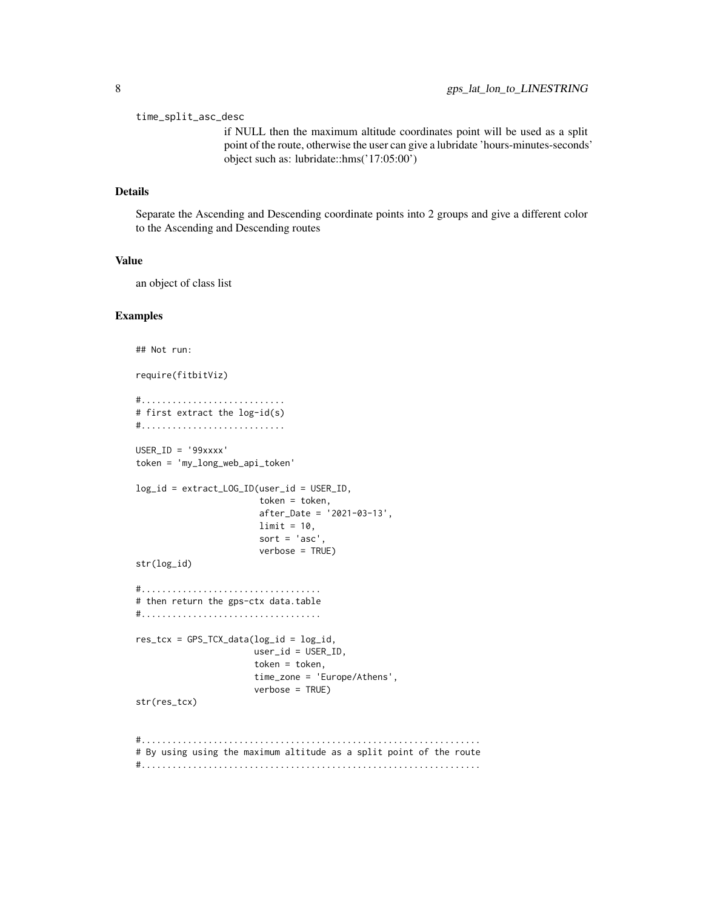time\_split\_asc\_desc

if NULL then the maximum altitude coordinates point will be used as a split point of the route, otherwise the user can give a lubridate 'hours-minutes-seconds' object such as: lubridate::hms('17:05:00')

#### Details

Separate the Ascending and Descending coordinate points into 2 groups and give a different color to the Ascending and Descending routes

#### Value

an object of class list

#### Examples

```
## Not run:
require(fitbitViz)
#............................
# first extract the log-id(s)
#............................
USER_ID = '99xxxx'
token = 'my_long_web_api_token'
log_id = extract_LOG_ID(user_id = USER_ID,
                        token = token,
                        after_Date = '2021-03-13',
                        limit = 10,
                        sort = 'asc'
                        verbose = TRUE)
str(log_id)
#...................................
# then return the gps-ctx data.table
#...................................
res\_tcx = GPS\_TCX\_data(log\_id = log\_id,user_id = USER_ID,
                       token = token,
                       time_zone = 'Europe/Athens',
                       verbose = TRUE)
str(res_tcx)
#..................................................................
# By using using the maximum altitude as a split point of the route
#..................................................................
```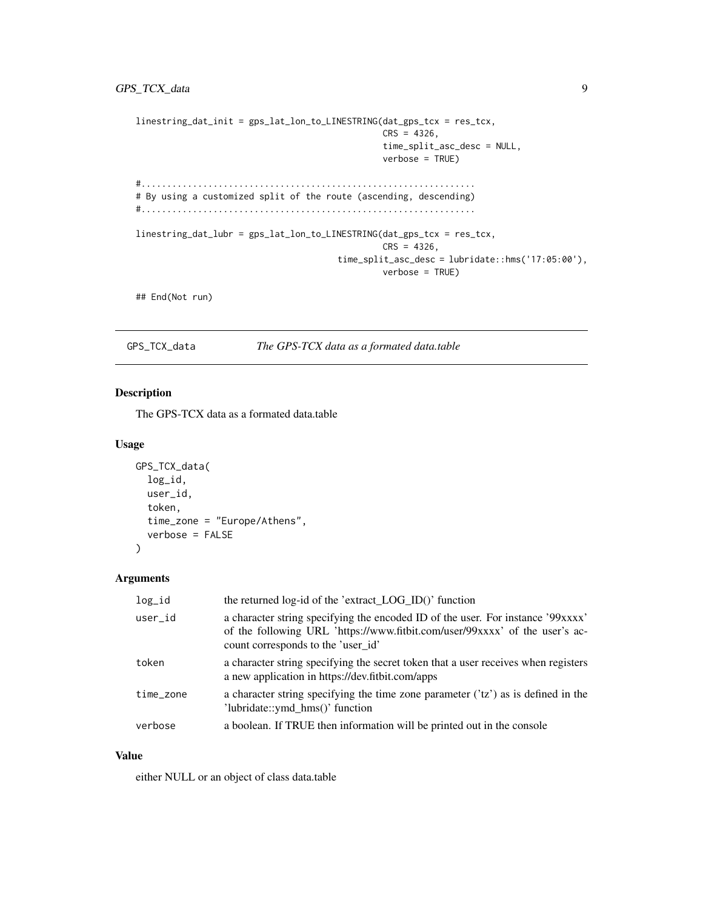#### <span id="page-8-0"></span>GPS\_TCX\_data 9

```
linestring_dat_init = gps_lat_lon_to_LINESTRING(dat_gps_tcx = res_tcx,
                                                CRS = 4326,
                                                time_split_asc_desc = NULL,
                                                verbose = TRUE)
#.................................................................
# By using a customized split of the route (ascending, descending)
#.................................................................
linestring_dat_lubr = gps_lat_lon_to_LINESTRING(dat_gps_tcx = res_tcx,
                                                CRS = 4326,time_split_asc_desc = lubridate::hms('17:05:00'),
                                                verbose = TRUE)
## End(Not run)
```
GPS\_TCX\_data *The GPS-TCX data as a formated data.table*

#### Description

The GPS-TCX data as a formated data.table

#### Usage

```
GPS_TCX_data(
  log_id,
  user_id,
  token,
  time_zone = "Europe/Athens",
  verbose = FALSE
\lambda
```
#### Arguments

| log_id    | the returned log-id of the 'extract_LOG_ID()' function                                                                                                                                               |
|-----------|------------------------------------------------------------------------------------------------------------------------------------------------------------------------------------------------------|
| user_id   | a character string specifying the encoded ID of the user. For instance '99xxxx'<br>of the following URL 'https://www.fitbit.com/user/99xxxx' of the user's ac-<br>count corresponds to the 'user id' |
| token     | a character string specifying the secret token that a user receives when registers<br>a new application in https://dev.fitbit.com/apps                                                               |
| time_zone | a character string specifying the time zone parameter $('tz')$ as is defined in the<br>'lubridate::ymd_hms()' function                                                                               |
| verbose   | a boolean. If TRUE then information will be printed out in the console                                                                                                                               |

#### Value

either NULL or an object of class data.table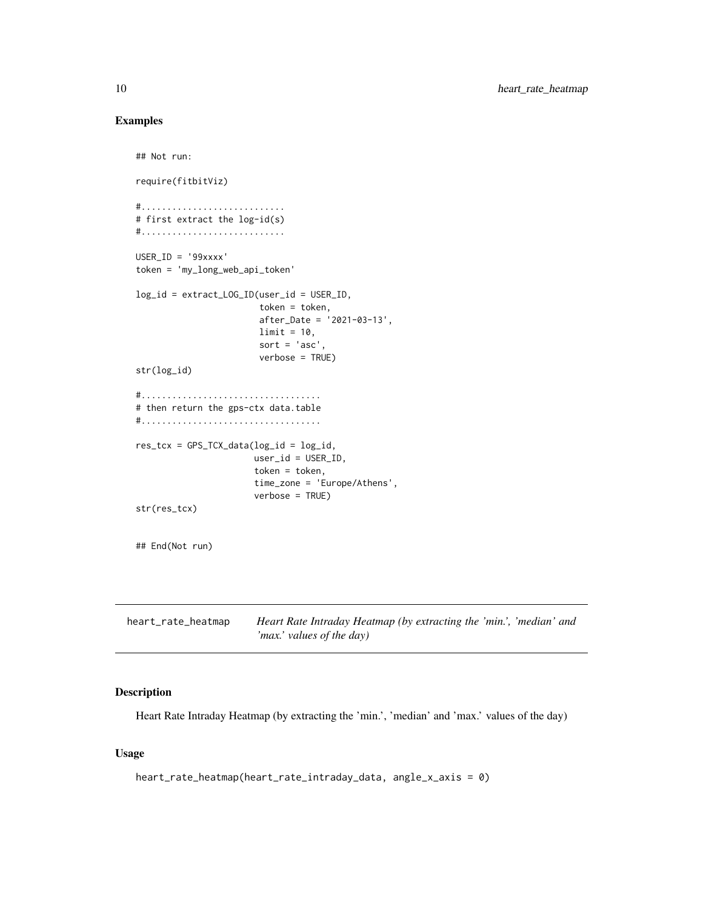#### Examples

```
## Not run:
require(fitbitViz)
#............................
# first extract the log-id(s)
#............................
USER_ID = '99xxxx'
token = 'my_long_web_api_token'
log_id = extract_LOG_ID(user_id = USER_ID,
                        token = token,
                        after_Date = '2021-03-13',
                        limit = 10,sort = 'asc'
                        verbose = TRUE)
str(log_id)
#...................................
# then return the gps-ctx data.table
#...................................
res\_tcx = GPS\_TCX\_data(log\_id = log_id,user_id = USER_ID,
                       token = token,
                       time_zone = 'Europe/Athens',
                       verbose = TRUE)
str(res_tcx)
## End(Not run)
```

| heart_rate_heatmap | Heart Rate Intraday Heatmap (by extracting the 'min.', 'median' and |
|--------------------|---------------------------------------------------------------------|
|                    | 'max.' values of the day)                                           |

#### Description

Heart Rate Intraday Heatmap (by extracting the 'min.', 'median' and 'max.' values of the day)

#### Usage

```
heart_rate_heatmap(heart_rate_intraday_data, angle_x_axis = 0)
```
<span id="page-9-0"></span>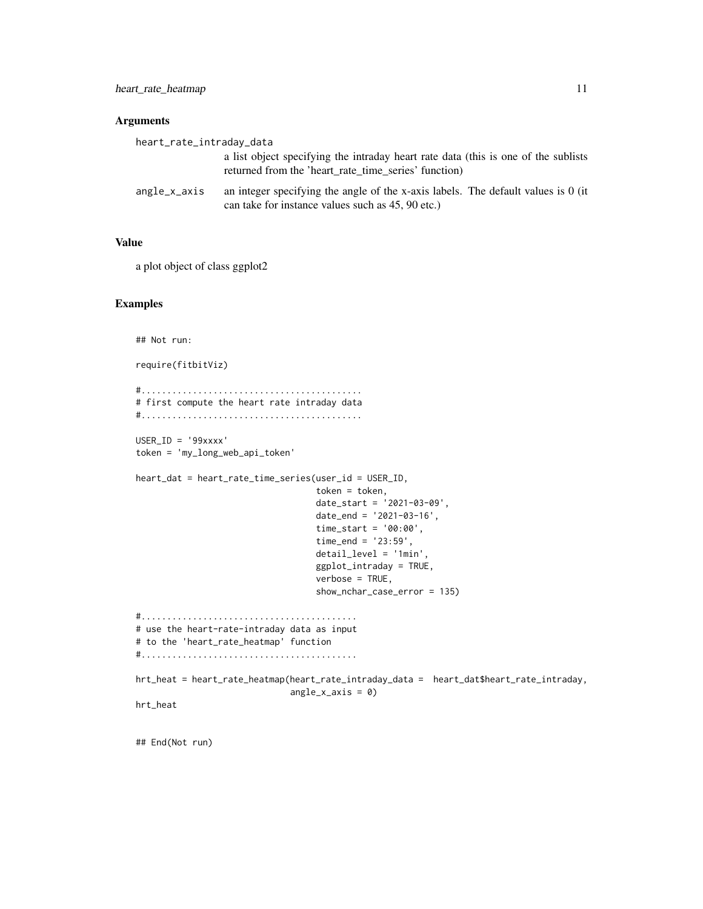#### Arguments

| heart_rate_intraday_data |                                                                                                                                             |
|--------------------------|---------------------------------------------------------------------------------------------------------------------------------------------|
|                          | a list object specifying the intraday heart rate data (this is one of the sublists)<br>returned from the 'heart rate time series' function) |
| angle_x_axis             | an integer specifying the angle of the x-axis labels. The default values is 0 (it<br>can take for instance values such as 45, 90 etc.)      |

#### Value

a plot object of class ggplot2

#### Examples

```
## Not run:
```

```
require(fitbitViz)
#...........................................
# first compute the heart rate intraday data
#...........................................
USER_ID = '99xxxx'
token = 'my_long_web_api_token'
heart_dat = heart_rate_time_series(user_id = USER_ID,
                                   token = token,
                                   date_start = '2021-03-09',
                                   date_end = '2021-03-16',
                                   time_start = '00:00',
                                   time_end = '23:59',
                                   detail_level = '1min',
                                   ggplot_intraday = TRUE,
                                   verbose = TRUE,
                                   show_nchar_case_error = 135)
#..........................................
# use the heart-rate-intraday data as input
# to the 'heart_rate_heatmap' function
#..........................................
hrt_heat = heart_rate_heatmap(heart_rate_intraday_data = heart_dat$heart_rate_intraday,
                              angle_x_axis = 0)
hrt_heat
```
## End(Not run)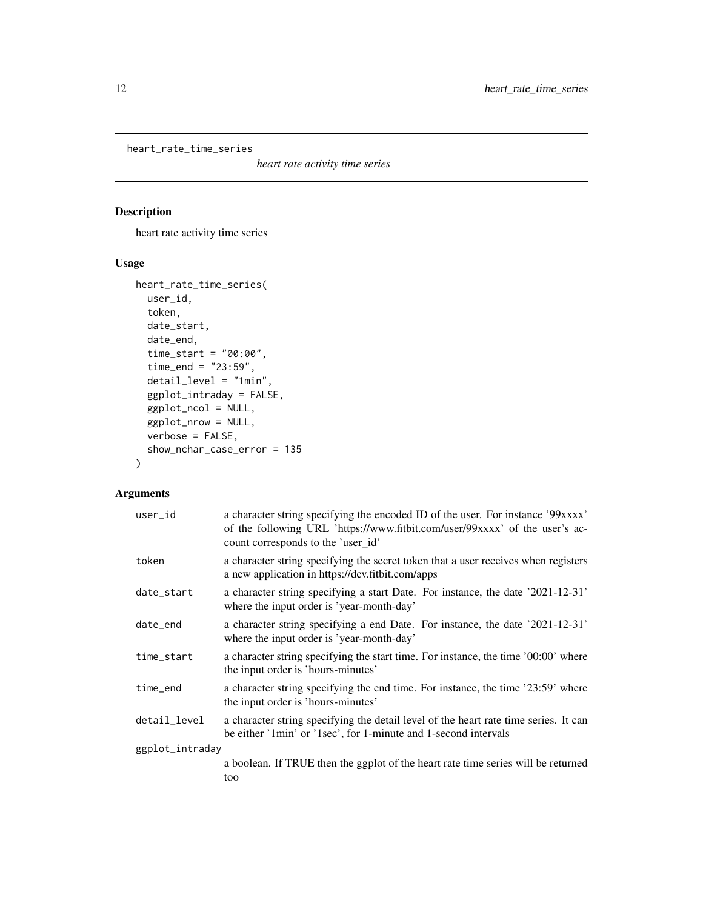<span id="page-11-0"></span>heart\_rate\_time\_series

*heart rate activity time series*

#### Description

heart rate activity time series

#### Usage

```
heart_rate_time_series(
 user_id,
  token,
  date_start,
  date_end,
  time_start = "00:00",
  time\_end = "23:59",detail_level = "1min",
  ggplot_intraday = FALSE,
  ggplot_ncol = NULL,
 ggplot_nrow = NULL,
 verbose = FALSE,
  show_nchar_case_error = 135
\mathcal{L}
```

| user_id         | a character string specifying the encoded ID of the user. For instance '99xxxx'<br>of the following URL 'https://www.fitbit.com/user/99xxxx' of the user's ac-<br>count corresponds to the 'user_id' |
|-----------------|------------------------------------------------------------------------------------------------------------------------------------------------------------------------------------------------------|
| token           | a character string specifying the secret token that a user receives when registers<br>a new application in https://dev.fitbit.com/apps                                                               |
| date_start      | a character string specifying a start Date. For instance, the date '2021-12-31'<br>where the input order is 'year-month-day'                                                                         |
| date_end        | a character string specifying a end Date. For instance, the date '2021-12-31'<br>where the input order is 'year-month-day'                                                                           |
| time_start      | a character string specifying the start time. For instance, the time '00:00' where<br>the input order is 'hours-minutes'                                                                             |
| time_end        | a character string specifying the end time. For instance, the time '23:59' where<br>the input order is 'hours-minutes'                                                                               |
| detail_level    | a character string specifying the detail level of the heart rate time series. It can<br>be either '1min' or '1sec', for 1-minute and 1-second intervals                                              |
| ggplot_intraday |                                                                                                                                                                                                      |
|                 | a boolean. If TRUE then the ggplot of the heart rate time series will be returned<br>too                                                                                                             |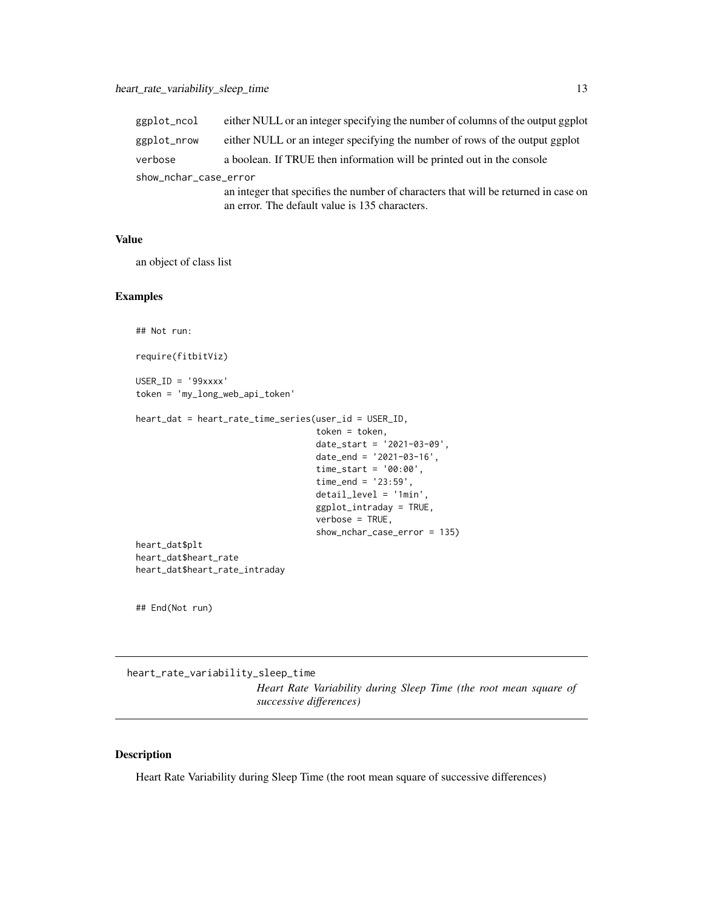<span id="page-12-0"></span>

| ggplot_ncol           | either NULL or an integer specifying the number of columns of the output ggplot     |  |
|-----------------------|-------------------------------------------------------------------------------------|--|
| ggplot_nrow           | either NULL or an integer specifying the number of rows of the output ggplot        |  |
| verbose               | a boolean. If TRUE then information will be printed out in the console              |  |
| show_nchar_case_error |                                                                                     |  |
|                       | an integer that specifies the number of characters that will be returned in case on |  |
|                       | an error. The default value is 135 characters.                                      |  |

an object of class list

#### Examples

## Not run: require(fitbitViz)

USER\_ID = '99xxxx' token = 'my\_long\_web\_api\_token'

```
heart_dat = heart_rate_time_series(user_id = USER_ID,
                                   token = token,
                                   date_start = '2021-03-09',
                                   date_end = '2021-03-16',
                                   time_start = '00:00',
                                   time\_end = '23:59',detail_level = '1min',
                                   ggplot_intraday = TRUE,
                                   verbose = TRUE,
                                   show_nchar_case_error = 135)
heart_dat$plt
heart_dat$heart_rate
heart_dat$heart_rate_intraday
```
## End(Not run)

heart\_rate\_variability\_sleep\_time

*Heart Rate Variability during Sleep Time (the root mean square of successive differences)*

#### Description

Heart Rate Variability during Sleep Time (the root mean square of successive differences)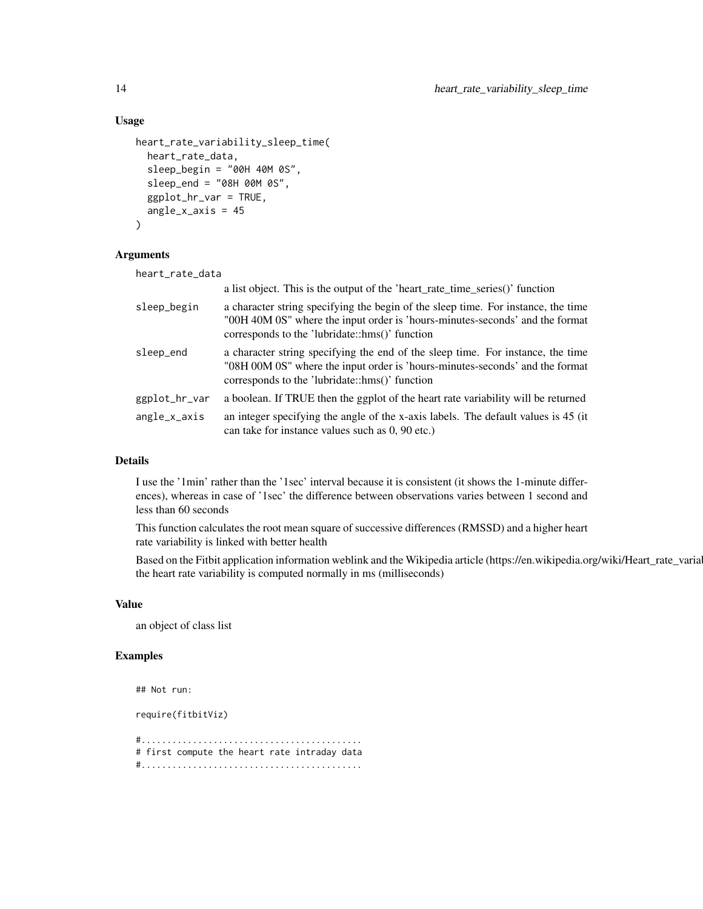#### Usage

```
heart_rate_variability_sleep_time(
  heart_rate_data,
  sleep_begin = "00H 40M 0S",
  sleep_end = "08H 00M 0S",
  ggplot_hr_var = TRUE,
  angle_x_axis = 45)
```
#### Arguments

| heart_rate_data |                                                                                                                                                                                                                     |
|-----------------|---------------------------------------------------------------------------------------------------------------------------------------------------------------------------------------------------------------------|
|                 | a list object. This is the output of the 'heart_rate_time_series()' function                                                                                                                                        |
| sleep_begin     | a character string specifying the begin of the sleep time. For instance, the time<br>"00H 40M 0S" where the input order is 'hours-minutes-seconds' and the format<br>corresponds to the 'lubridate::hms()' function |
| sleep_end       | a character string specifying the end of the sleep time. For instance, the time<br>"08H 00M 0S" where the input order is 'hours-minutes-seconds' and the format<br>corresponds to the 'lubridate::hms()' function   |
| ggplot_hr_var   | a boolean. If TRUE then the ggplot of the heart rate variability will be returned                                                                                                                                   |
| $angle_x_axis$  | an integer specifying the angle of the x-axis labels. The default values is 45 (it)<br>can take for instance values such as 0, 90 etc.)                                                                             |

#### Details

I use the '1min' rather than the '1sec' interval because it is consistent (it shows the 1-minute differences), whereas in case of '1sec' the difference between observations varies between 1 second and less than 60 seconds

This function calculates the root mean square of successive differences (RMSSD) and a higher heart rate variability is linked with better health

Based on the Fitbit application information weblink and the Wikipedia article (https://en.wikipedia.org/wiki/Heart\_rate\_varia the heart rate variability is computed normally in ms (milliseconds)

#### Value

an object of class list

#### Examples

```
## Not run:
```
require(fitbitViz)

#........................................... # first compute the heart rate intraday data #...........................................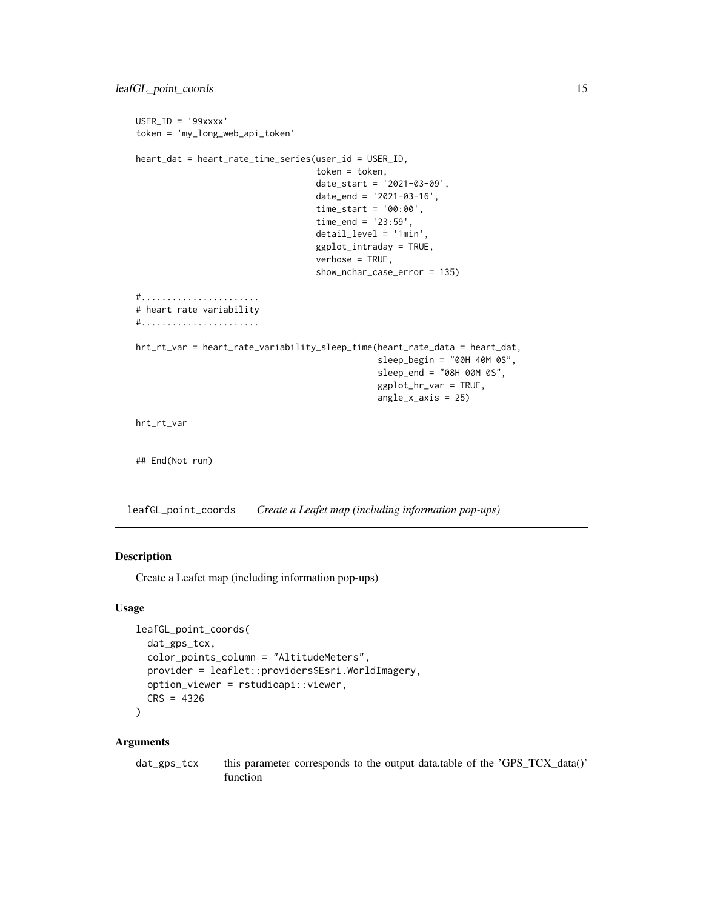```
USER_ID = '99xxxx'
token = 'my_long_web_api_token'
heart_dat = heart_rate_time_series(user_id = USER_ID,
                                   token = token,
                                   date_start = '2021-03-09',
                                   date_end = '2021-03-16',
                                   time_start = '00:00',
                                   time_end = '23:59',
                                   detail_level = '1min',
                                   ggplot_intraday = TRUE,
                                   verbose = TRUE,
                                   show_nchar_case_error = 135)
#.......................
# heart rate variability
#.......................
hrt_rt_var = heart_rate_variability_sleep_time(heart_rate_data = heart_dat,
                                                sleep_begin = "00H 40M 0S",
                                                sleep_end = "08H 00M 0S",
                                                ggplot_hr_var = TRUE,
                                                angle_x_axis = 25)
hrt_rt_var
## End(Not run)
```
leafGL\_point\_coords *Create a Leafet map (including information pop-ups)*

#### Description

Create a Leafet map (including information pop-ups)

#### Usage

```
leafGL_point_coords(
  dat_gps_tcx,
  color_points_column = "AltitudeMeters",
  provider = leaflet::providers$Esri.WorldImagery,
  option_viewer = rstudioapi::viewer,
  CRS = 4326\lambda
```

```
dat_gps_tcx this parameter corresponds to the output data.table of the 'GPS_TCX_data()'
                 function
```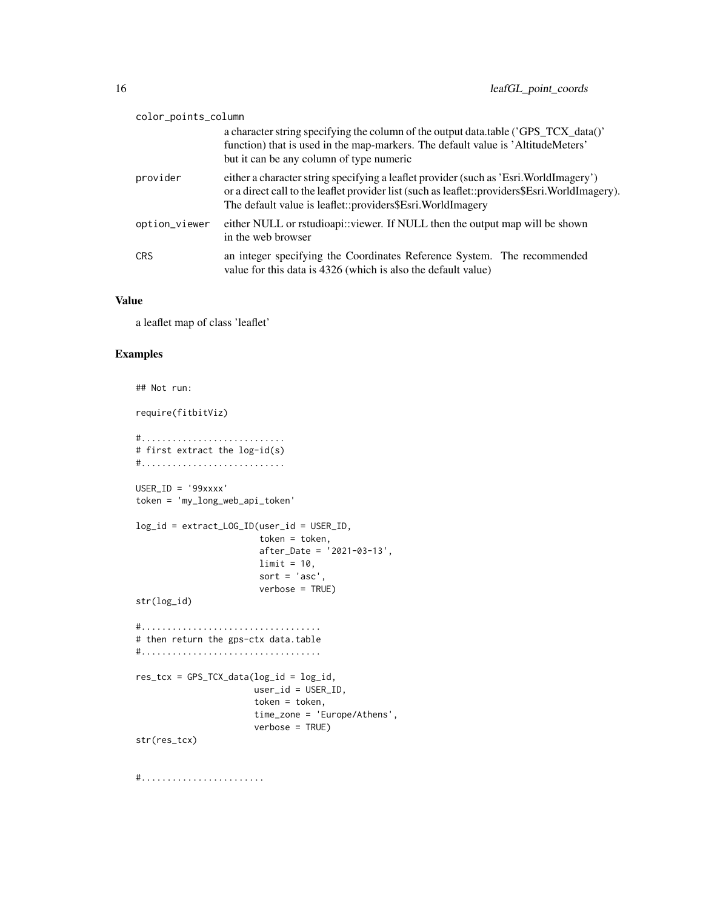| color_points_column |                                                                                                                                                                                                                                                        |
|---------------------|--------------------------------------------------------------------------------------------------------------------------------------------------------------------------------------------------------------------------------------------------------|
|                     | a character string specifying the column of the output data.table ('GPS_TCX_data()'<br>function) that is used in the map-markers. The default value is 'AltitudeMeters'<br>but it can be any column of type numeric                                    |
| provider            | either a character string specifying a leaflet provider (such as 'Esri. WorldImagery')<br>or a direct call to the leaflet provider list (such as leaflet::providers\$Esri.WorldImagery).<br>The default value is leaflet::providers\$Esri.WorldImagery |
| option_viewer       | either NULL or rstudioapi::viewer. If NULL then the output map will be shown<br>in the web browser                                                                                                                                                     |
| <b>CRS</b>          | an integer specifying the Coordinates Reference System. The recommended<br>value for this data is 4326 (which is also the default value)                                                                                                               |

a leaflet map of class 'leaflet'

#### Examples

```
## Not run:
require(fitbitViz)
#............................
# first extract the log-id(s)
#............................
USER_ID = '99xxxx'
token = 'my_long_web_api_token'
log_id = extract_LOG_ID(user_id = USER_ID,
                        token = token,
                        after_Date = '2021-03-13',
                        limit = 10,sort = 'asc',verbose = TRUE)
str(log_id)
#...................................
# then return the gps-ctx data.table
#...................................
res_tcx = GPS_TCX_data(log_id = log_id,
                       user_id = USER_ID,
                       token = token,
                       time_zone = 'Europe/Athens',
                       verbose = TRUE)
str(res_tcx)
```
#........................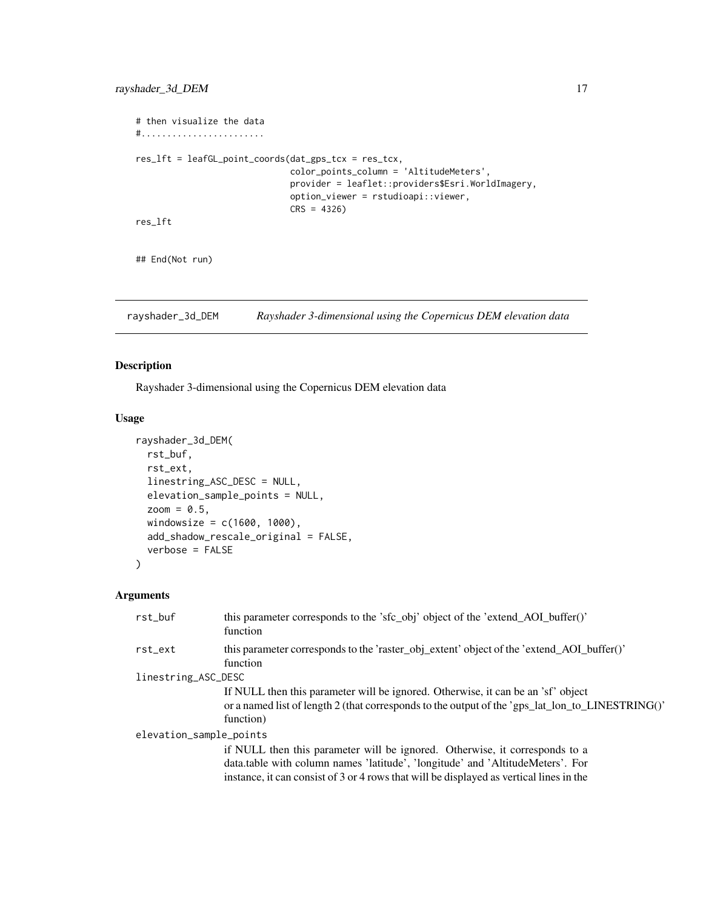```
# then visualize the data
#........................
res_lft = leafGL_point_coords(dat_gps_tcx = res_tcx,
                              color_points_column = 'AltitudeMeters',
                              provider = leaflet::providers$Esri.WorldImagery,
                              option_viewer = rstudioapi::viewer,
                              CRS = 4326)
res_lft
## End(Not run)
```
rayshader\_3d\_DEM *Rayshader 3-dimensional using the Copernicus DEM elevation data*

#### Description

Rayshader 3-dimensional using the Copernicus DEM elevation data

#### Usage

```
rayshader_3d_DEM(
  rst_buf,
 rst_ext,
 linestring_ASC_DESC = NULL,
 elevation_sample_points = NULL,
  zoom = 0.5,
 windowsize = c(1600, 1000),add_shadow_rescale_original = FALSE,
  verbose = FALSE
)
```

| rst buf                 | this parameter corresponds to the 'sfc_obj' object of the 'extend_AOI_buffer()'<br>function                                                                                                                                                              |  |  |
|-------------------------|----------------------------------------------------------------------------------------------------------------------------------------------------------------------------------------------------------------------------------------------------------|--|--|
| rst_ext                 | this parameter corresponds to the 'raster_obj_extent' object of the 'extend_AOI_buffer()'<br>function                                                                                                                                                    |  |  |
| linestring_ASC_DESC     |                                                                                                                                                                                                                                                          |  |  |
|                         | If NULL then this parameter will be ignored. Otherwise, it can be an 'sf' object<br>or a named list of length 2 (that corresponds to the output of the 'gps_lat_lon_to_LINESTRING()'<br>function)                                                        |  |  |
| elevation_sample_points |                                                                                                                                                                                                                                                          |  |  |
|                         | if NULL then this parameter will be ignored. Otherwise, it corresponds to a<br>data.table with column names 'latitude', 'longitude' and 'AltitudeMeters'. For<br>instance, it can consist of 3 or 4 rows that will be displayed as vertical lines in the |  |  |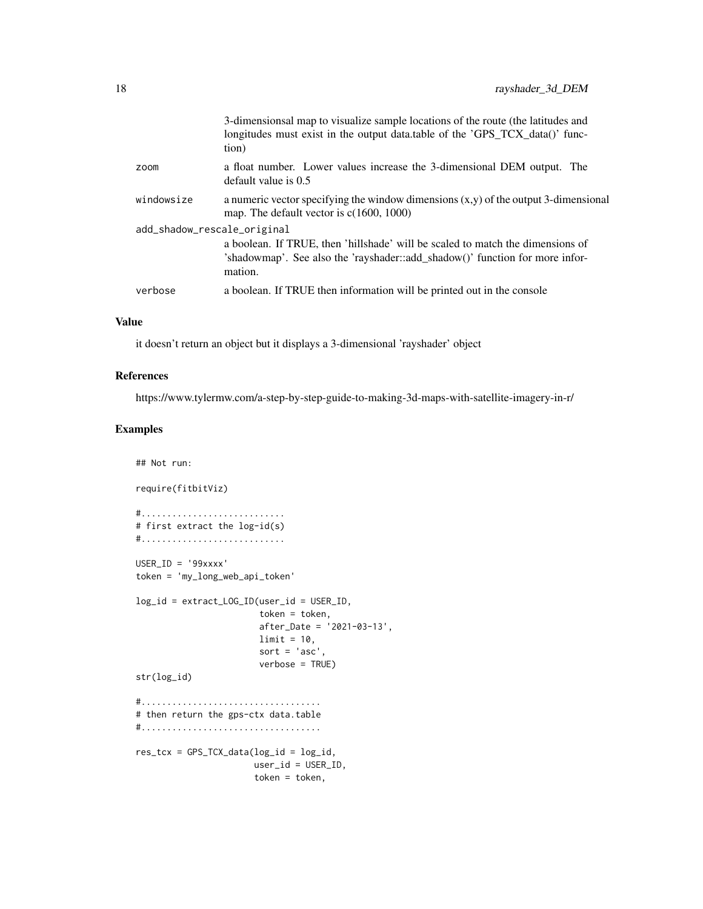|            | 3-dimensions almap to visualize sample locations of the route (the latitudes and<br>longitudes must exist in the output data.table of the 'GPS_TCX_data()' func-<br>tion) |  |
|------------|---------------------------------------------------------------------------------------------------------------------------------------------------------------------------|--|
| zoom       | a float number. Lower values increase the 3-dimensional DEM output. The<br>default value is $0.5$                                                                         |  |
| windowsize | a numeric vector specifying the window dimensions $(x,y)$ of the output 3-dimensional<br>map. The default vector is $c(1600, 1000)$                                       |  |
|            | add_shadow_rescale_original                                                                                                                                               |  |
|            | a boolean. If TRUE, then 'hillshade' will be scaled to match the dimensions of<br>'shadowmap'. See also the 'rayshader::add_shadow()' function for more infor-<br>mation. |  |
| verbose    | a boolean. If TRUE then information will be printed out in the console                                                                                                    |  |

it doesn't return an object but it displays a 3-dimensional 'rayshader' object

#### References

https://www.tylermw.com/a-step-by-step-guide-to-making-3d-maps-with-satellite-imagery-in-r/

#### Examples

## Not run:

```
require(fitbitViz)
#............................
# first extract the log-id(s)
#............................
USER_ID = '99xxxx'
token = 'my_long_web_api_token'
log_id = extract_LOG_ID(user_id = USER_ID,
                        token = token,
                        after_Date = '2021-03-13',
                        limit = 10,sort = 'asc',
                        verbose = TRUE)
str(log_id)
#...................................
# then return the gps-ctx data.table
#...................................
res\_tcx = GPS\_TCX\_data(log\_id = log\_id,user_id = USER_ID,
                       token = token,
```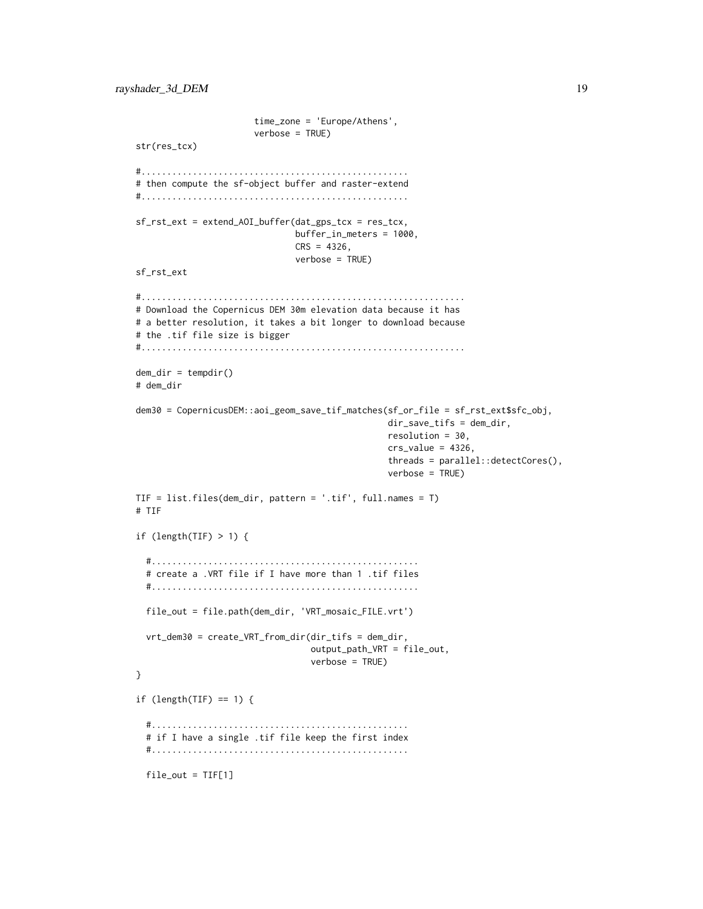```
time_zone = 'Europe/Athens',
                       verbose = TRUE)
str(res_tcx)
#....................................................
# then compute the sf-object buffer and raster-extend
#....................................................
sf_rst_ext = extend_AOI_buffer(dat_gps_tcx = res_tcx,
                               buffer_in_meters = 1000,
                               CRS = 4326,verbose = TRUE)
sf_rst_ext
#...............................................................
# Download the Copernicus DEM 30m elevation data because it has
# a better resolution, it takes a bit longer to download because
# the .tif file size is bigger
#...............................................................
dem\_dir = tempdir()# dem_dir
dem30 = CopernicusDEM::aoi_geom_save_tif_matches(sf_or_file = sf_rst_ext$sfc_obj,
                                                 dir_save_tifs = dem_dir,
                                                 resolution = 30,
                                                 crs_value = 4326,threads = parallel::detectCores(),
                                                 verbose = TRUE)
TIF = list.files(dem_dir, pattern = '.tif', full.names = T)
# TIF
if (length(TIF) > 1) {
  #....................................................
  # create a .VRT file if I have more than 1 .tif files
  #....................................................
  file_out = file.path(dem_dir, 'VRT_mosaic_FILE.vrt')
  vrt_dem30 = create_VRT_from_dir(dir_tifs = dem_dir,
                                  output_path_VRT = file_out,
                                  verbose = TRUE)
}
if (length(TIF) == 1) {
  #..................................................
  # if I have a single .tif file keep the first index
  #..................................................
  file_out = TIF[1]
```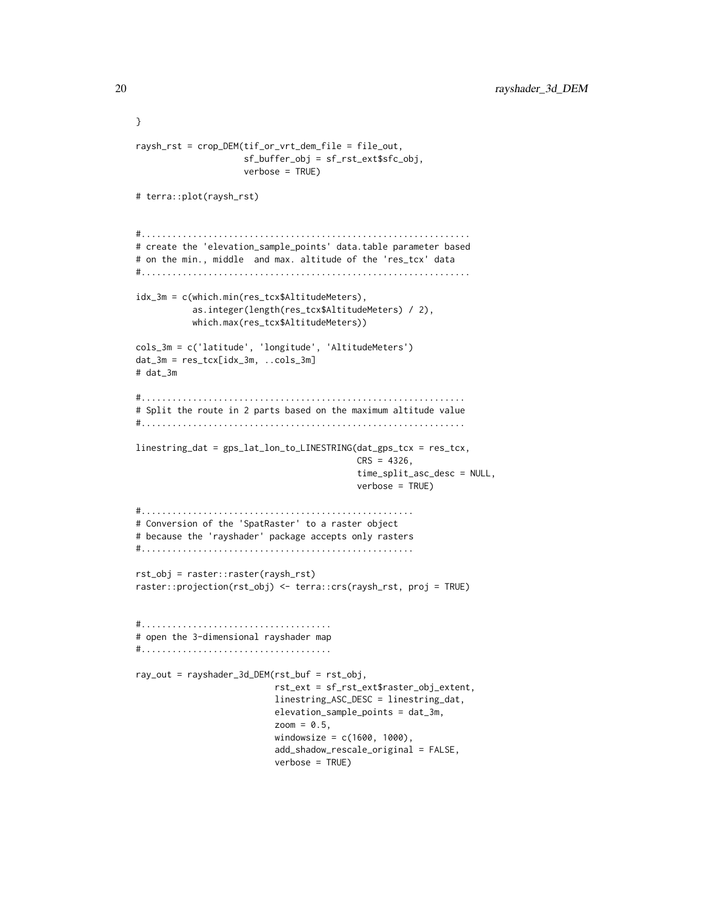```
}
raysh_rst = crop_DEM(tif_or_vrt_dem_file = file_out,
                     sf_buffer_obj = sf_rst_ext$sfc_obj,
                     verbose = TRUE)
# terra::plot(raysh_rst)
#................................................................
# create the 'elevation_sample_points' data.table parameter based
# on the min., middle and max. altitude of the 'res_tcx' data
#................................................................
idx_3m = c(which.min(res_tcx$AltitudeMeters),
           as.integer(length(res_tcx$AltitudeMeters) / 2),
           which.max(res_tcx$AltitudeMeters))
cols_3m = c('latitude', 'longitude', 'AltitudeMeters')
dat_3m = res_tcx[idx_3m, ...cols_3m]# dat_3m
#...............................................................
# Split the route in 2 parts based on the maximum altitude value
#...............................................................
linestring_dat = gps_lat_lon_to_LINESTRING(dat_gps_tcx = res_tcx,
                                           CRS = 4326,
                                           time_split_asc_desc = NULL,
                                           verbose = TRUE)
#.....................................................
# Conversion of the 'SpatRaster' to a raster object
# because the 'rayshader' package accepts only rasters
#.....................................................
rst_obj = raster::raster(raysh_rst)
raster::projection(rst_obj) <- terra::crs(raysh_rst, proj = TRUE)
#.....................................
# open the 3-dimensional rayshader map
#.....................................
ray_out = rayshader_3d_DEM(rst_buf = rst_obj,
                           rst_ext = sf_rst_ext$raster_obj_extent,
                           linestring_ASC_DESC = linestring_dat,
                           elevation_sample_points = dat_3m,
                           zoom = 0.5,
                           windowsize = c(1600, 1000),add_shadow_rescale_original = FALSE,
                           verbose = TRUE)
```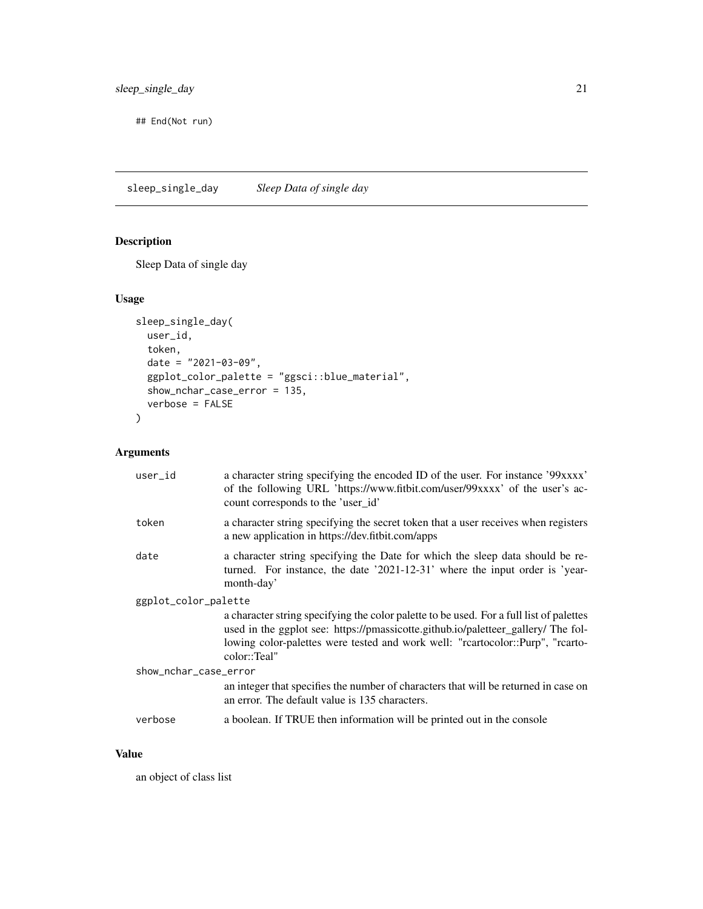<span id="page-20-0"></span>## End(Not run)

sleep\_single\_day *Sleep Data of single day*

#### Description

Sleep Data of single day

#### Usage

```
sleep_single_day(
 user_id,
 token,
 date = "2021-03-09",ggplot_color_palette = "ggsci::blue_material",
 show_nchar_case_error = 135,
 verbose = FALSE
)
```
#### Arguments

| user_id               | a character string specifying the encoded ID of the user. For instance '99xxxx'<br>of the following URL 'https://www.fitbit.com/user/99xxxx' of the user's ac-<br>count corresponds to the 'user_id'                                                                           |  |
|-----------------------|--------------------------------------------------------------------------------------------------------------------------------------------------------------------------------------------------------------------------------------------------------------------------------|--|
| token                 | a character string specifying the secret token that a user receives when registers<br>a new application in https://dev.fitbit.com/apps                                                                                                                                         |  |
| date                  | a character string specifying the Date for which the sleep data should be re-<br>turned. For instance, the date '2021-12-31' where the input order is 'year-<br>month-day'                                                                                                     |  |
| ggplot_color_palette  |                                                                                                                                                                                                                                                                                |  |
|                       | a character string specifying the color palette to be used. For a full list of palettes<br>used in the ggplot see: https://pmassicotte.github.io/paletteer_gallery/ The fol-<br>lowing color-palettes were tested and work well: "rcartocolor::Purp", "rcarto-<br>color::Teal" |  |
| show_nchar_case_error |                                                                                                                                                                                                                                                                                |  |
|                       | an integer that specifies the number of characters that will be returned in case on<br>an error. The default value is 135 characters.                                                                                                                                          |  |
| verbose               | a boolean. If TRUE then information will be printed out in the console                                                                                                                                                                                                         |  |
|                       |                                                                                                                                                                                                                                                                                |  |

#### Value

an object of class list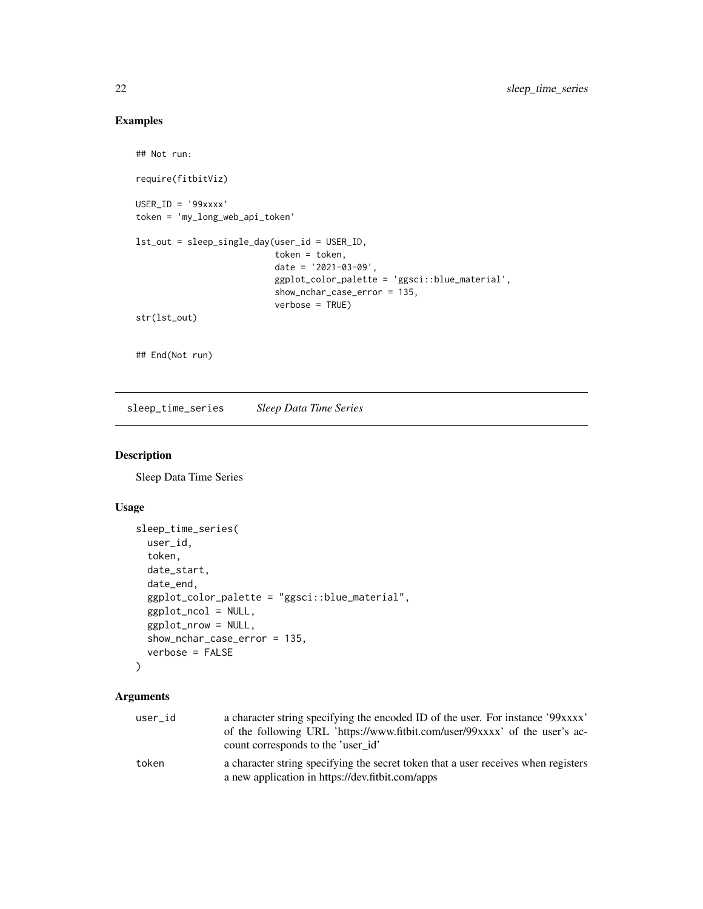#### Examples

```
## Not run:
require(fitbitViz)
USER_ID = '99xxxx'
token = 'my_long_web_api_token'
lst_out = sleep_single_day(user_id = USER_ID,
                           token = token,
                           date = '2021-03-09',
                           ggplot_color_palette = 'ggsci::blue_material',
                           show_nchar_case_error = 135,
                           verbose = TRUE)
str(lst_out)
## End(Not run)
```
sleep\_time\_series *Sleep Data Time Series*

#### Description

Sleep Data Time Series

#### Usage

```
sleep_time_series(
 user_id,
  token,
  date_start,
  date_end,
  ggplot_color_palette = "ggsci::blue_material",
  ggplot_ncol = NULL,
  ggplot_nrow = NULL,
  show_nchar_case_error = 135,
  verbose = FALSE
\lambda
```

| user_id | a character string specifying the encoded ID of the user. For instance '99xxxx'<br>of the following URL 'https://www.fitbit.com/user/99xxxx' of the user's ac-<br>count corresponds to the 'user id' |
|---------|------------------------------------------------------------------------------------------------------------------------------------------------------------------------------------------------------|
| token   | a character string specifying the secret token that a user receives when registers<br>a new application in https://dev.fitbit.com/apps                                                               |

<span id="page-21-0"></span>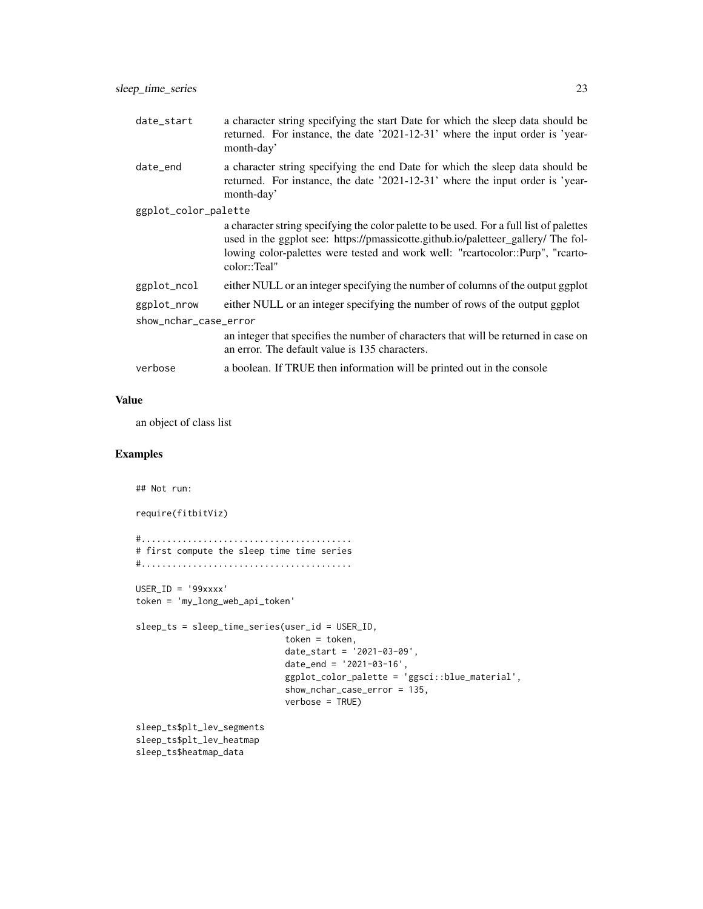| date_start            | a character string specifying the start Date for which the sleep data should be<br>returned. For instance, the date '2021-12-31' where the input order is 'year-<br>month-day'                                                                                                 |  |  |
|-----------------------|--------------------------------------------------------------------------------------------------------------------------------------------------------------------------------------------------------------------------------------------------------------------------------|--|--|
| date_end              | a character string specifying the end Date for which the sleep data should be<br>returned. For instance, the date '2021-12-31' where the input order is 'year-<br>month-day'                                                                                                   |  |  |
| ggplot_color_palette  |                                                                                                                                                                                                                                                                                |  |  |
|                       | a character string specifying the color palette to be used. For a full list of palettes<br>used in the ggplot see: https://pmassicotte.github.io/paletteer_gallery/ The fol-<br>lowing color-palettes were tested and work well: "rcartocolor::Purp", "rcarto-<br>color::Teal" |  |  |
| ggplot_ncol           | either NULL or an integer specifying the number of columns of the output ggplot                                                                                                                                                                                                |  |  |
| ggplot_nrow           | either NULL or an integer specifying the number of rows of the output ggplot                                                                                                                                                                                                   |  |  |
| show_nchar_case_error |                                                                                                                                                                                                                                                                                |  |  |
|                       | an integer that specifies the number of characters that will be returned in case on<br>an error. The default value is 135 characters.                                                                                                                                          |  |  |
| verbose               | a boolean. If TRUE then information will be printed out in the console                                                                                                                                                                                                         |  |  |
|                       |                                                                                                                                                                                                                                                                                |  |  |

an object of class list

#### Examples

## Not run:

require(fitbitViz)

#......................................... # first compute the sleep time time series #.........................................

USER\_ID = '99xxxx' token = 'my\_long\_web\_api\_token'

```
sleep_ts = sleep_time_series(user_id = USER_ID,
                             token = token,
                             date_start = '2021-03-09',
                             date_end = '2021-03-16',
                             ggplot_color_palette = 'ggsci::blue_material',
                             show_nchar_case_error = 135,
                             verbose = TRUE)
```
sleep\_ts\$plt\_lev\_segments sleep\_ts\$plt\_lev\_heatmap sleep\_ts\$heatmap\_data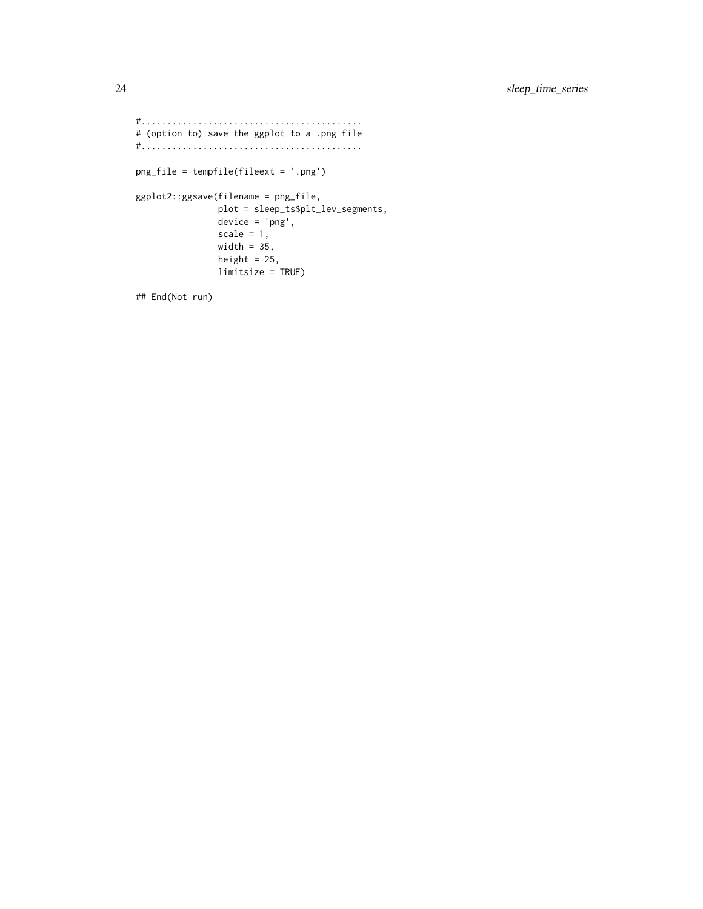```
#...........................................
# (option to) save the ggplot to a .png file
#...........................................
png_file = tempfile(fileext = '.png')
ggplot2::ggsave(filename = png_file,
               plot = sleep_ts$plt_lev_segments,
               device = 'png',
               scale = 1,width = 35,
               height = 25,
               limitsize = TRUE)
```
## End(Not run)